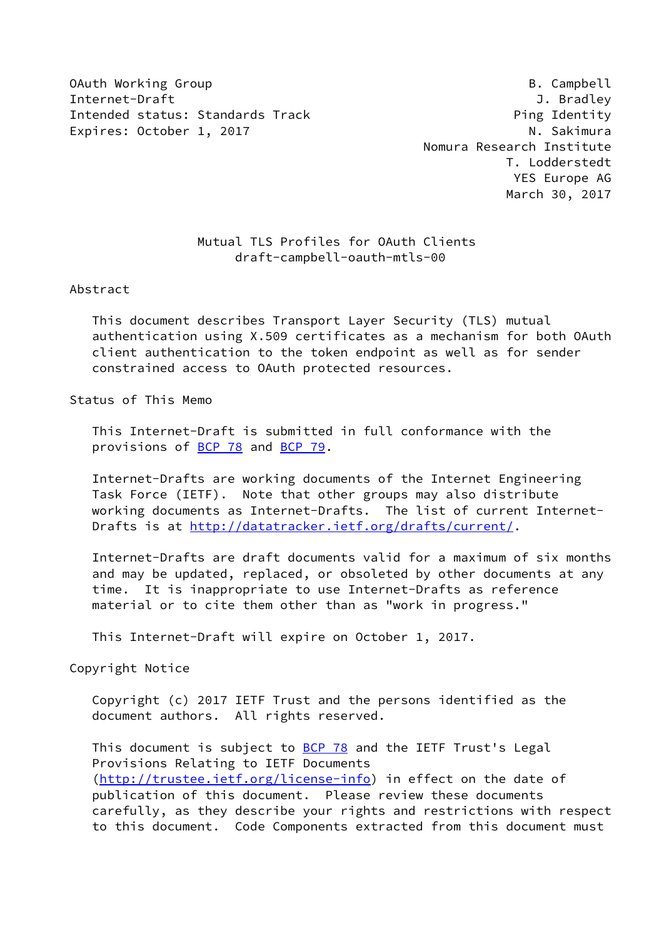OAuth Working Group **B. Campbell** Internet-Draft J. Bradley Intended status: Standards Track example and the Ping Identity Expires: October 1, 2017 M. Sakimura

 Nomura Research Institute T. Lodderstedt YES Europe AG March 30, 2017

# Mutual TLS Profiles for OAuth Clients draft-campbell-oauth-mtls-00

#### Abstract

 This document describes Transport Layer Security (TLS) mutual authentication using X.509 certificates as a mechanism for both OAuth client authentication to the token endpoint as well as for sender constrained access to OAuth protected resources.

#### Status of This Memo

 This Internet-Draft is submitted in full conformance with the provisions of **BCP 78** and **BCP 79**.

 Internet-Drafts are working documents of the Internet Engineering Task Force (IETF). Note that other groups may also distribute working documents as Internet-Drafts. The list of current Internet Drafts is at<http://datatracker.ietf.org/drafts/current/>.

 Internet-Drafts are draft documents valid for a maximum of six months and may be updated, replaced, or obsoleted by other documents at any time. It is inappropriate to use Internet-Drafts as reference material or to cite them other than as "work in progress."

This Internet-Draft will expire on October 1, 2017.

Copyright Notice

 Copyright (c) 2017 IETF Trust and the persons identified as the document authors. All rights reserved.

This document is subject to **[BCP 78](https://datatracker.ietf.org/doc/pdf/bcp78)** and the IETF Trust's Legal Provisions Relating to IETF Documents [\(http://trustee.ietf.org/license-info](http://trustee.ietf.org/license-info)) in effect on the date of publication of this document. Please review these documents carefully, as they describe your rights and restrictions with respect to this document. Code Components extracted from this document must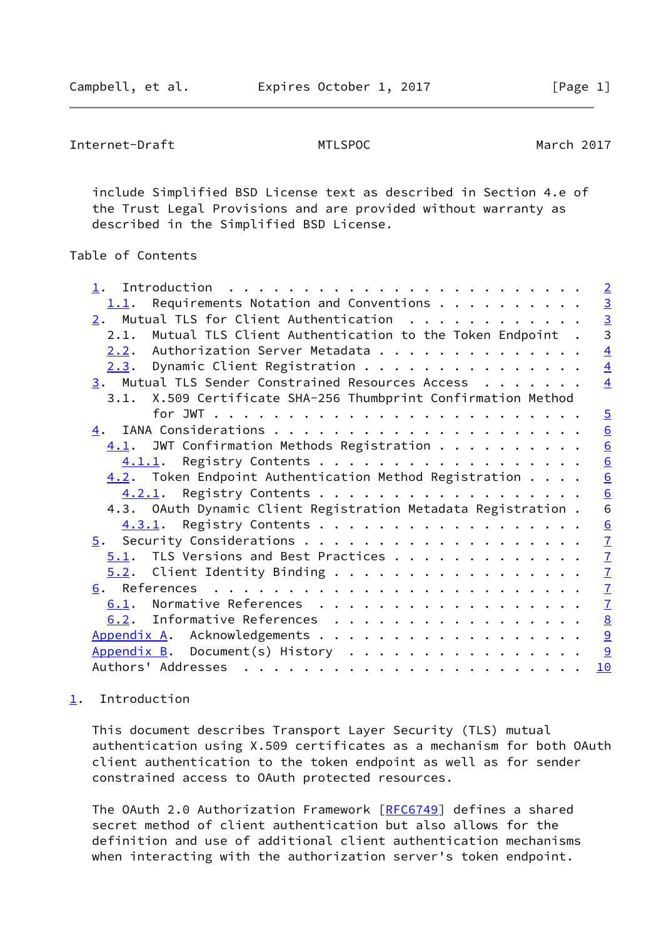```
Internet-Draft MTLSPOC March 2017
```
 include Simplified BSD License text as described in Section 4.e of the Trust Legal Provisions and are provided without warranty as described in the Simplified BSD License.

## Table of Contents

|                                                                  | $\overline{2}$                            |
|------------------------------------------------------------------|-------------------------------------------|
| Requirements Notation and Conventions<br>1.1.                    |                                           |
| $2.$ Mutual TLS for Client Authentication                        | $\frac{3}{3}$                             |
| Mutual TLS Client Authentication to the Token Endpoint .<br>2.1. |                                           |
| Authorization Server Metadata<br>2.2.                            | $\overline{4}$                            |
| $2.3.$ Dynamic Client Registration                               | $\overline{4}$                            |
| 3. Mutual TLS Sender Constrained Resources Access                | $\overline{4}$                            |
| 3.1. X.509 Certificate SHA-256 Thumbprint Confirmation Method    |                                           |
|                                                                  | $\overline{5}$                            |
|                                                                  | 6                                         |
| $\underline{4.1}$ . JWT Confirmation Methods Registration        | $\underline{6}$                           |
| 4.1.1. Registry Contents                                         | $\underline{6}$                           |
| $4.2$ . Token Endpoint Authentication Method Registration        | 6                                         |
| 4.2.1. Registry Contents                                         | $\underline{6}$                           |
| 4.3. OAuth Dynamic Client Registration Metadata Registration.    | 6                                         |
| 4.3.1. Registry Contents                                         | $\underline{6}$                           |
|                                                                  | $\overline{1}$                            |
| $5.1$ . TLS Versions and Best Practices                          |                                           |
| $5.2$ . Client Identity Binding                                  |                                           |
|                                                                  | $\frac{7}{7}$ $\frac{7}{7}$ $\frac{7}{7}$ |
| Normative References<br>6.1.                                     |                                           |
| Informative References<br>6.2.                                   | $\underline{8}$                           |
| Appendix A. Acknowledgements                                     | $\overline{a}$                            |
| Appendix B. Document(s) History                                  | 9                                         |
|                                                                  | 10                                        |
|                                                                  |                                           |

## <span id="page-1-0"></span>[1](#page-1-0). Introduction

 This document describes Transport Layer Security (TLS) mutual authentication using X.509 certificates as a mechanism for both OAuth client authentication to the token endpoint as well as for sender constrained access to OAuth protected resources.

The OAuth 2.0 Authorization Framework [[RFC6749](https://datatracker.ietf.org/doc/pdf/rfc6749)] defines a shared secret method of client authentication but also allows for the definition and use of additional client authentication mechanisms when interacting with the authorization server's token endpoint.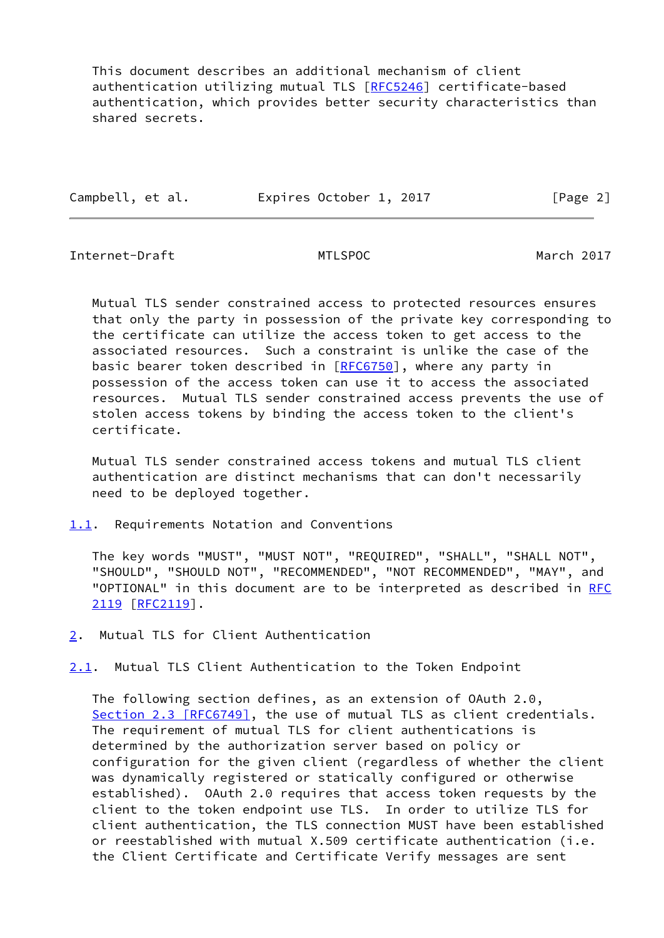This document describes an additional mechanism of client authentication utilizing mutual TLS [\[RFC5246](https://datatracker.ietf.org/doc/pdf/rfc5246)] certificate-based authentication, which provides better security characteristics than shared secrets.

| Campbell, et al. | Expires October 1, 2017 | [Page 2] |
|------------------|-------------------------|----------|
|                  |                         |          |

<span id="page-2-1"></span>Internet-Draft MTLSPOC March 2017

 Mutual TLS sender constrained access to protected resources ensures that only the party in possession of the private key corresponding to the certificate can utilize the access token to get access to the associated resources. Such a constraint is unlike the case of the basic bearer token described in [\[RFC6750](https://datatracker.ietf.org/doc/pdf/rfc6750)], where any party in possession of the access token can use it to access the associated resources. Mutual TLS sender constrained access prevents the use of stolen access tokens by binding the access token to the client's certificate.

 Mutual TLS sender constrained access tokens and mutual TLS client authentication are distinct mechanisms that can don't necessarily need to be deployed together.

<span id="page-2-0"></span>[1.1](#page-2-0). Requirements Notation and Conventions

 The key words "MUST", "MUST NOT", "REQUIRED", "SHALL", "SHALL NOT", "SHOULD", "SHOULD NOT", "RECOMMENDED", "NOT RECOMMENDED", "MAY", and "OPTIONAL" in this document are to be interpreted as described in [RFC](https://datatracker.ietf.org/doc/pdf/rfc2119) [2119](https://datatracker.ietf.org/doc/pdf/rfc2119) [\[RFC2119](https://datatracker.ietf.org/doc/pdf/rfc2119)].

<span id="page-2-2"></span>[2](#page-2-2). Mutual TLS for Client Authentication

<span id="page-2-3"></span>[2.1](#page-2-3). Mutual TLS Client Authentication to the Token Endpoint

 The following section defines, as an extension of OAuth 2.0, Section [2.3 \[RFC6749\]](https://datatracker.ietf.org/doc/pdf/rfc6749#section-2.3), the use of mutual TLS as client credentials. The requirement of mutual TLS for client authentications is determined by the authorization server based on policy or configuration for the given client (regardless of whether the client was dynamically registered or statically configured or otherwise established). OAuth 2.0 requires that access token requests by the client to the token endpoint use TLS. In order to utilize TLS for client authentication, the TLS connection MUST have been established or reestablished with mutual X.509 certificate authentication (i.e. the Client Certificate and Certificate Verify messages are sent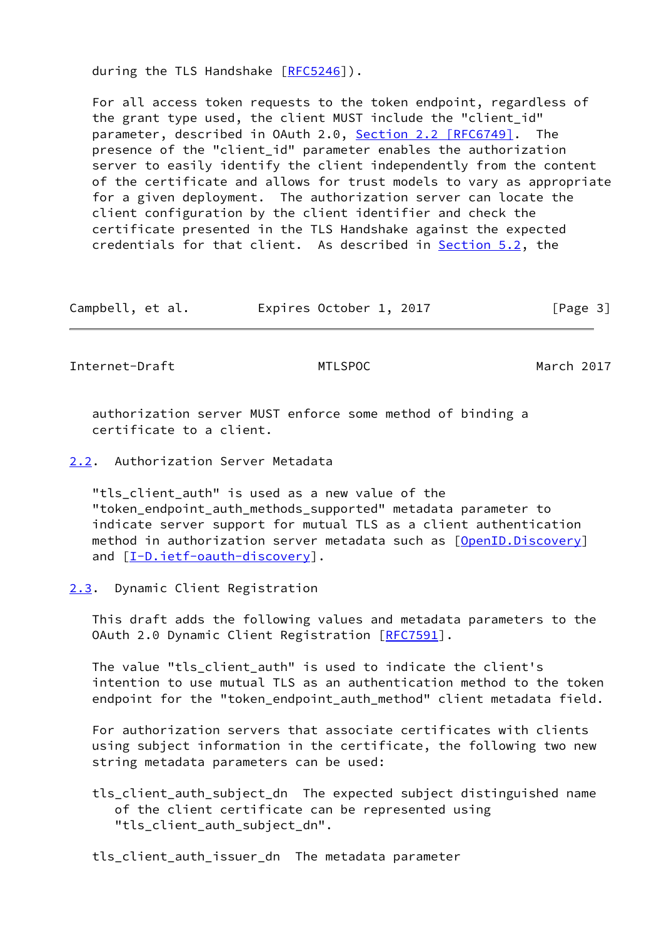during the TLS Handshake [\[RFC5246](https://datatracker.ietf.org/doc/pdf/rfc5246)]).

 For all access token requests to the token endpoint, regardless of the grant type used, the client MUST include the "client\_id" parameter, described in OAuth 2.0, Section [2.2 \[RFC6749\].](https://datatracker.ietf.org/doc/pdf/rfc6749#section-2.2) The presence of the "client\_id" parameter enables the authorization server to easily identify the client independently from the content of the certificate and allows for trust models to vary as appropriate for a given deployment. The authorization server can locate the client configuration by the client identifier and check the certificate presented in the TLS Handshake against the expected credentials for that client. As described in **Section 5.2**, the

Campbell, et al. [Page 3]

<span id="page-3-1"></span>Internet-Draft MTLSPOC METRIC March 2017

 authorization server MUST enforce some method of binding a certificate to a client.

<span id="page-3-0"></span>[2.2](#page-3-0). Authorization Server Metadata

"tls client auth" is used as a new value of the "token\_endpoint\_auth\_methods\_supported" metadata parameter to indicate server support for mutual TLS as a client authentication method in authorization server metadata such as [\[OpenID.Discovery](#page-8-1)] and  $[I-D.iett-eault-discovery]$ .

<span id="page-3-2"></span>[2.3](#page-3-2). Dynamic Client Registration

 This draft adds the following values and metadata parameters to the OAuth 2.0 Dynamic Client Registration [[RFC7591](https://datatracker.ietf.org/doc/pdf/rfc7591)].

 The value "tls\_client\_auth" is used to indicate the client's intention to use mutual TLS as an authentication method to the token endpoint for the "token\_endpoint\_auth\_method" client metadata field.

 For authorization servers that associate certificates with clients using subject information in the certificate, the following two new string metadata parameters can be used:

 tls\_client\_auth\_subject\_dn The expected subject distinguished name of the client certificate can be represented using "tls client auth subject dn".

tls\_client\_auth\_issuer\_dn The metadata parameter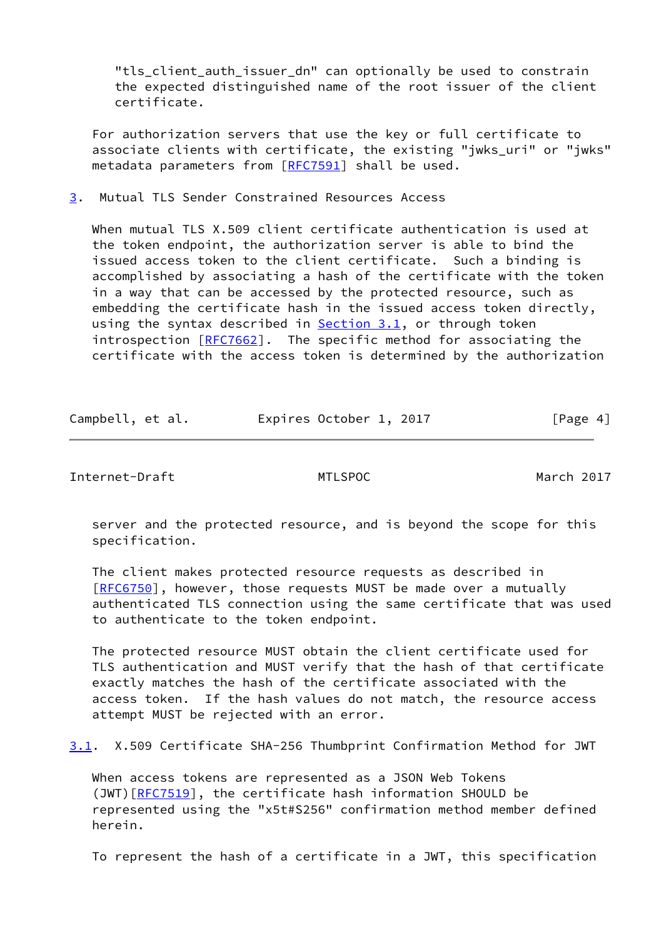"tls client auth issuer dn" can optionally be used to constrain the expected distinguished name of the root issuer of the client certificate.

 For authorization servers that use the key or full certificate to associate clients with certificate, the existing "jwks\_uri" or "jwks" metadata parameters from [\[RFC7591](https://datatracker.ietf.org/doc/pdf/rfc7591)] shall be used.

<span id="page-4-0"></span>[3](#page-4-0). Mutual TLS Sender Constrained Resources Access

 When mutual TLS X.509 client certificate authentication is used at the token endpoint, the authorization server is able to bind the issued access token to the client certificate. Such a binding is accomplished by associating a hash of the certificate with the token in a way that can be accessed by the protected resource, such as embedding the certificate hash in the issued access token directly, using the syntax described in [Section 3.1](#page-4-2), or through token introspection [[RFC7662](https://datatracker.ietf.org/doc/pdf/rfc7662)]. The specific method for associating the certificate with the access token is determined by the authorization

| Campbell, et al. | Expires October 1, 2017 | [Page 4] |
|------------------|-------------------------|----------|
|------------------|-------------------------|----------|

<span id="page-4-1"></span>Internet-Draft MTLSPOC METRISPOC March 2017

 server and the protected resource, and is beyond the scope for this specification.

 The client makes protected resource requests as described in [\[RFC6750](https://datatracker.ietf.org/doc/pdf/rfc6750)], however, those requests MUST be made over a mutually authenticated TLS connection using the same certificate that was used to authenticate to the token endpoint.

 The protected resource MUST obtain the client certificate used for TLS authentication and MUST verify that the hash of that certificate exactly matches the hash of the certificate associated with the access token. If the hash values do not match, the resource access attempt MUST be rejected with an error.

<span id="page-4-2"></span>[3.1](#page-4-2). X.509 Certificate SHA-256 Thumbprint Confirmation Method for JWT

 When access tokens are represented as a JSON Web Tokens (JWT)[\[RFC7519](https://datatracker.ietf.org/doc/pdf/rfc7519)], the certificate hash information SHOULD be represented using the "x5t#S256" confirmation method member defined herein.

To represent the hash of a certificate in a JWT, this specification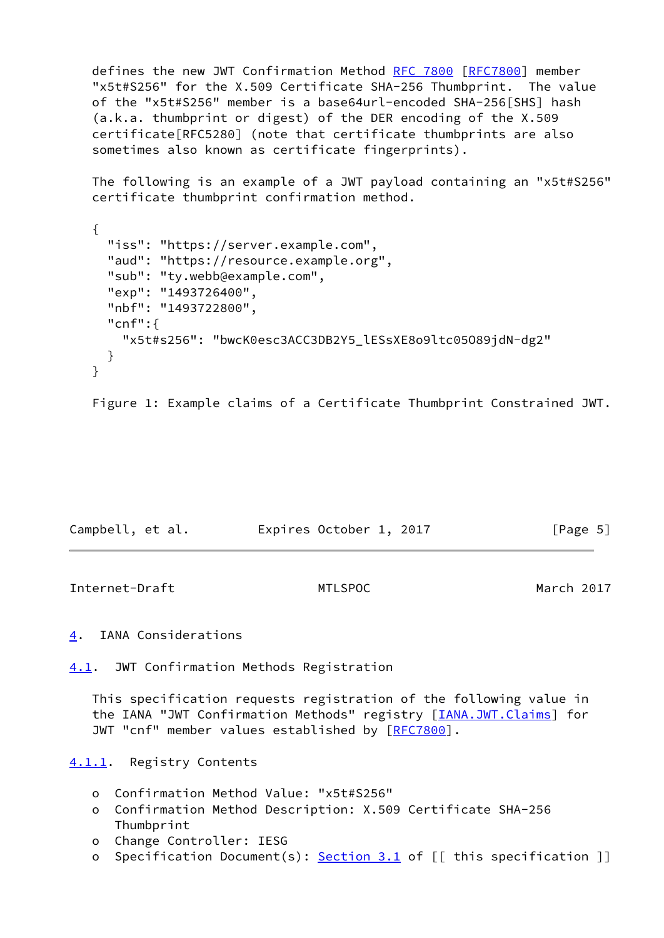defines the new JWT Confirmation Method [RFC 7800](https://datatracker.ietf.org/doc/pdf/rfc7800) [\[RFC7800](https://datatracker.ietf.org/doc/pdf/rfc7800)] member "x5t#S256" for the X.509 Certificate SHA-256 Thumbprint. The value of the "x5t#S256" member is a base64url-encoded SHA-256[SHS] hash (a.k.a. thumbprint or digest) of the DER encoding of the X.509 certificate[RFC5280] (note that certificate thumbprints are also sometimes also known as certificate fingerprints).

 The following is an example of a JWT payload containing an "x5t#S256" certificate thumbprint confirmation method.

```
 {
   "iss": "https://server.example.com",
   "aud": "https://resource.example.org",
   "sub": "ty.webb@example.com",
   "exp": "1493726400",
   "nbf": "1493722800",
   "cnf":{
     "x5t#s256": "bwcK0esc3ACC3DB2Y5_lESsXE8o9ltc05O89jdN-dg2"
   }
 }
```
Figure 1: Example claims of a Certificate Thumbprint Constrained JWT.

| Campbell, et al. | Expires October 1, 2017 | [Page 5] |
|------------------|-------------------------|----------|
|------------------|-------------------------|----------|

<span id="page-5-1"></span>Internet-Draft MTLSPOC March 2017

<span id="page-5-0"></span>[4](#page-5-0). IANA Considerations

<span id="page-5-2"></span>[4.1](#page-5-2). JWT Confirmation Methods Registration

 This specification requests registration of the following value in the IANA "JWT Confirmation Methods" registry [*IANA.JWT.Claims*] for JWT "cnf" member values established by [\[RFC7800](https://datatracker.ietf.org/doc/pdf/rfc7800)].

<span id="page-5-3"></span>[4.1.1](#page-5-3). Registry Contents

- o Confirmation Method Value: "x5t#S256"
- o Confirmation Method Description: X.509 Certificate SHA-256 Thumbprint
- o Change Controller: IESG
- o Specification Document(s): [Section 3.1](#page-4-2) of [[ this specification ]]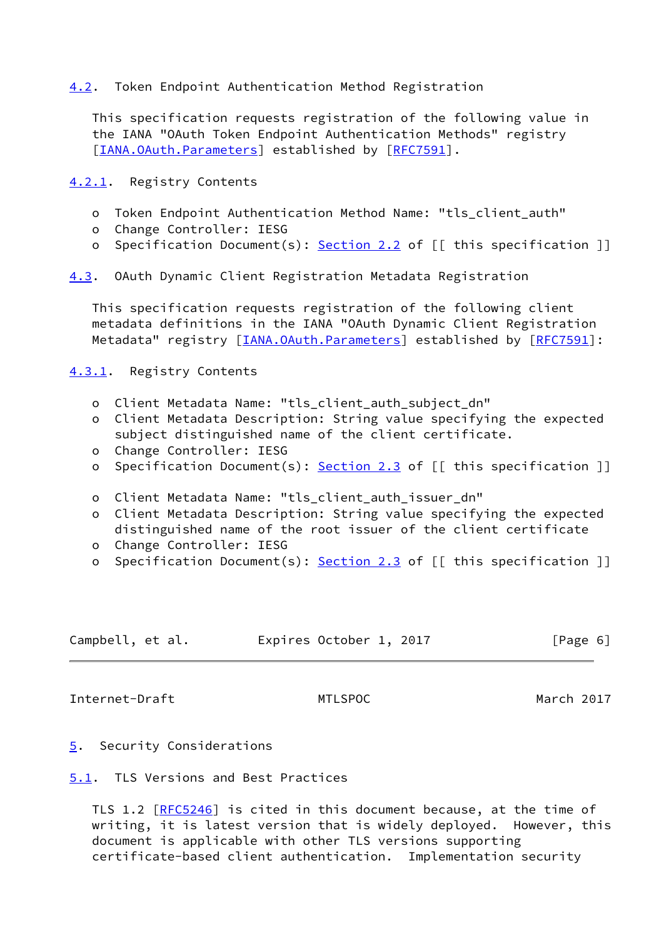## <span id="page-6-0"></span>[4.2](#page-6-0). Token Endpoint Authentication Method Registration

 This specification requests registration of the following value in the IANA "OAuth Token Endpoint Authentication Methods" registry [\[IANA.OAuth.Parameters](#page-8-4)] established by [\[RFC7591](https://datatracker.ietf.org/doc/pdf/rfc7591)].

<span id="page-6-1"></span>[4.2.1](#page-6-1). Registry Contents

- o Token Endpoint Authentication Method Name: "tls\_client\_auth"
- o Change Controller: IESG
- o Specification Document(s): [Section 2.2](#page-3-0) of [[ this specification ]]

<span id="page-6-6"></span>[4.3](#page-6-6). OAuth Dynamic Client Registration Metadata Registration

 This specification requests registration of the following client metadata definitions in the IANA "OAuth Dynamic Client Registration Metadata" registry [[IANA.OAuth.Parameters\]](#page-8-4) established by [[RFC7591](https://datatracker.ietf.org/doc/pdf/rfc7591)]:

<span id="page-6-2"></span>[4.3.1](#page-6-2). Registry Contents

- o Client Metadata Name: "tls\_client\_auth\_subject\_dn"
- o Client Metadata Description: String value specifying the expected subject distinguished name of the client certificate.
- o Change Controller: IESG
- o Specification Document(s): [Section 2.3](#page-3-2) of [[ this specification ]]
- o Client Metadata Name: "tls\_client\_auth\_issuer\_dn"
- o Client Metadata Description: String value specifying the expected distinguished name of the root issuer of the client certificate
- o Change Controller: IESG
- o Specification Document(s): [Section 2.3](#page-3-2) of [[ this specification ]]

| Campbell, et al. | Expires October 1, 2017 | [Page 6] |
|------------------|-------------------------|----------|
|------------------|-------------------------|----------|

<span id="page-6-4"></span>Internet-Draft MTLSPOC March 2017

- <span id="page-6-3"></span>[5](#page-6-3). Security Considerations
- <span id="page-6-5"></span>[5.1](#page-6-5). TLS Versions and Best Practices

TLS 1.2 [\[RFC5246](https://datatracker.ietf.org/doc/pdf/rfc5246)] is cited in this document because, at the time of writing, it is latest version that is widely deployed. However, this document is applicable with other TLS versions supporting certificate-based client authentication. Implementation security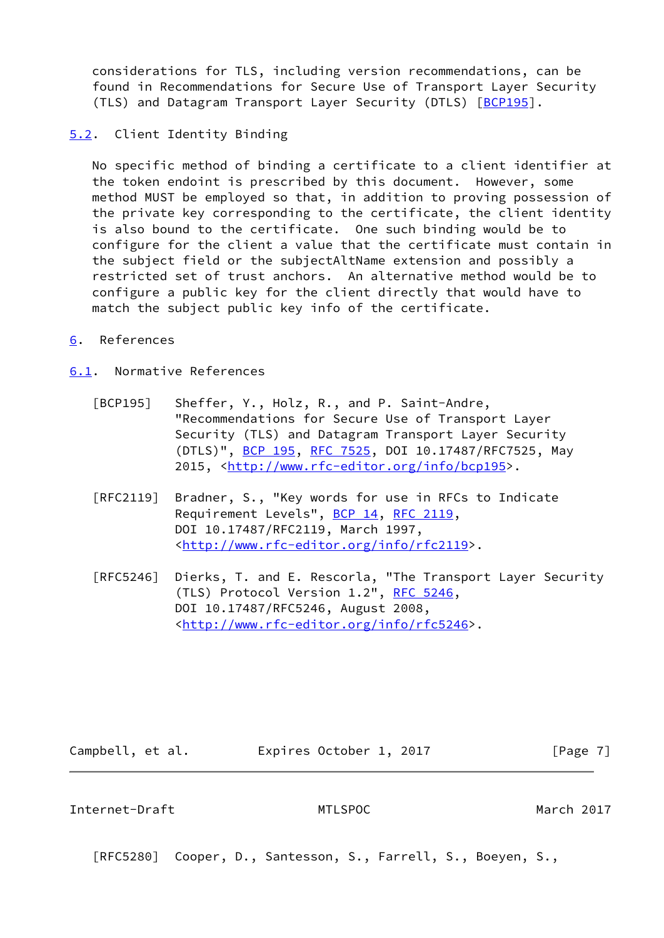considerations for TLS, including version recommendations, can be found in Recommendations for Secure Use of Transport Layer Security (TLS) and Datagram Transport Layer Security (DTLS) [[BCP195](#page-7-4)].

### <span id="page-7-0"></span>[5.2](#page-7-0). Client Identity Binding

 No specific method of binding a certificate to a client identifier at the token endoint is prescribed by this document. However, some method MUST be employed so that, in addition to proving possession of the private key corresponding to the certificate, the client identity is also bound to the certificate. One such binding would be to configure for the client a value that the certificate must contain in the subject field or the subjectAltName extension and possibly a restricted set of trust anchors. An alternative method would be to configure a public key for the client directly that would have to match the subject public key info of the certificate.

<span id="page-7-1"></span>[6](#page-7-1). References

<span id="page-7-2"></span>[6.1](#page-7-2). Normative References

- <span id="page-7-4"></span> [BCP195] Sheffer, Y., Holz, R., and P. Saint-Andre, "Recommendations for Secure Use of Transport Layer Security (TLS) and Datagram Transport Layer Security (DTLS)", [BCP 195,](https://datatracker.ietf.org/doc/pdf/bcp195) [RFC 7525](https://datatracker.ietf.org/doc/pdf/rfc7525), DOI 10.17487/RFC7525, May 2015, [<http://www.rfc-editor.org/info/bcp195>](http://www.rfc-editor.org/info/bcp195).
- [RFC2119] Bradner, S., "Key words for use in RFCs to Indicate Requirement Levels", [BCP 14](https://datatracker.ietf.org/doc/pdf/bcp14), [RFC 2119](https://datatracker.ietf.org/doc/pdf/rfc2119), DOI 10.17487/RFC2119, March 1997, <<http://www.rfc-editor.org/info/rfc2119>>.
- [RFC5246] Dierks, T. and E. Rescorla, "The Transport Layer Security (TLS) Protocol Version 1.2", [RFC 5246](https://datatracker.ietf.org/doc/pdf/rfc5246), DOI 10.17487/RFC5246, August 2008, <<http://www.rfc-editor.org/info/rfc5246>>.

Campbell, et al. [Page 7]

<span id="page-7-3"></span>Internet-Draft MTLSPOC March 2017

[RFC5280] Cooper, D., Santesson, S., Farrell, S., Boeyen, S.,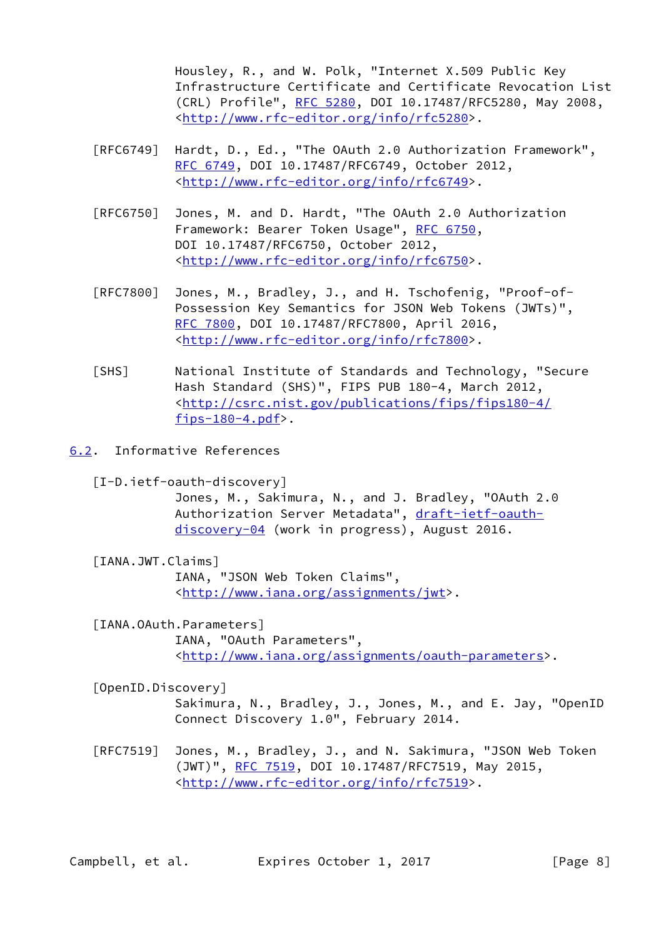Housley, R., and W. Polk, "Internet X.509 Public Key Infrastructure Certificate and Certificate Revocation List (CRL) Profile", [RFC 5280,](https://datatracker.ietf.org/doc/pdf/rfc5280) DOI 10.17487/RFC5280, May 2008, <<http://www.rfc-editor.org/info/rfc5280>>.

- [RFC6749] Hardt, D., Ed., "The OAuth 2.0 Authorization Framework", [RFC 6749,](https://datatracker.ietf.org/doc/pdf/rfc6749) DOI 10.17487/RFC6749, October 2012, <<http://www.rfc-editor.org/info/rfc6749>>.
- [RFC6750] Jones, M. and D. Hardt, "The OAuth 2.0 Authorization Framework: Bearer Token Usage", [RFC 6750,](https://datatracker.ietf.org/doc/pdf/rfc6750) DOI 10.17487/RFC6750, October 2012, <<http://www.rfc-editor.org/info/rfc6750>>.
- [RFC7800] Jones, M., Bradley, J., and H. Tschofenig, "Proof-of- Possession Key Semantics for JSON Web Tokens (JWTs)", [RFC 7800,](https://datatracker.ietf.org/doc/pdf/rfc7800) DOI 10.17487/RFC7800, April 2016, <<http://www.rfc-editor.org/info/rfc7800>>.
- [SHS] National Institute of Standards and Technology, "Secure Hash Standard (SHS)", FIPS PUB 180-4, March 2012, <[http://csrc.nist.gov/publications/fips/fips180-4/](http://csrc.nist.gov/publications/fips/fips180-4/fips-180-4.pdf) fips- $180-4.pdf$ .
- <span id="page-8-2"></span><span id="page-8-0"></span>[6.2](#page-8-0). Informative References
	- [I-D.ietf-oauth-discovery]

 Jones, M., Sakimura, N., and J. Bradley, "OAuth 2.0 Authorization Server Metadata", [draft-ietf-oauth](https://datatracker.ietf.org/doc/pdf/draft-ietf-oauth-discovery-04) [discovery-04](https://datatracker.ietf.org/doc/pdf/draft-ietf-oauth-discovery-04) (work in progress), August 2016.

<span id="page-8-3"></span>[IANA.JWT.Claims]

 IANA, "JSON Web Token Claims", <[http://www.iana.org/assignments/jwt>](http://www.iana.org/assignments/jwt).

- <span id="page-8-4"></span> [IANA.OAuth.Parameters] IANA, "OAuth Parameters", <[http://www.iana.org/assignments/oauth-parameters>](http://www.iana.org/assignments/oauth-parameters).
- <span id="page-8-1"></span>[OpenID.Discovery]

 Sakimura, N., Bradley, J., Jones, M., and E. Jay, "OpenID Connect Discovery 1.0", February 2014.

 [RFC7519] Jones, M., Bradley, J., and N. Sakimura, "JSON Web Token (JWT)", [RFC 7519,](https://datatracker.ietf.org/doc/pdf/rfc7519) DOI 10.17487/RFC7519, May 2015, <<http://www.rfc-editor.org/info/rfc7519>>.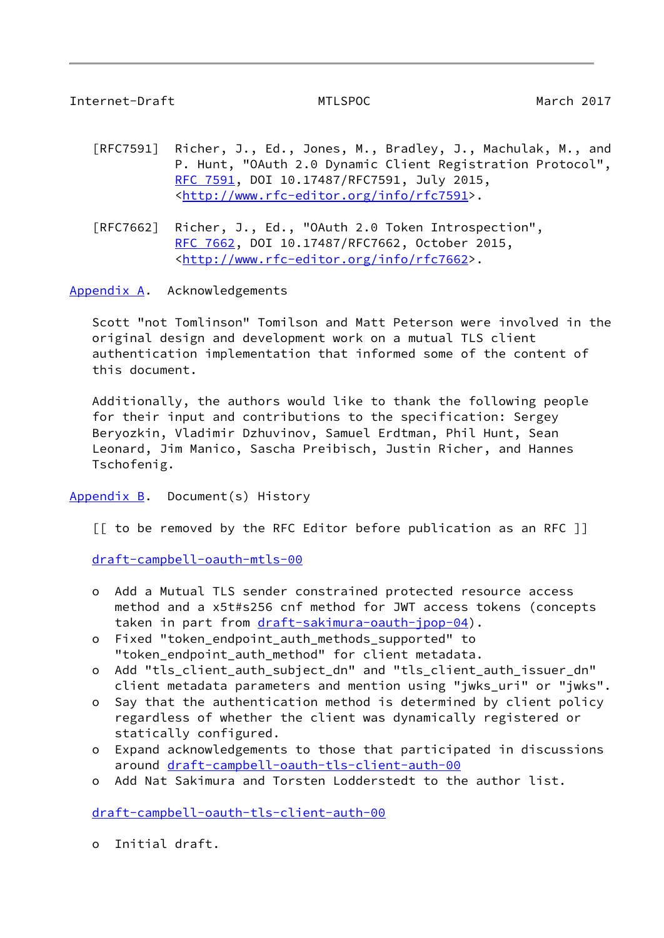<span id="page-9-1"></span>Internet-Draft MTLSPOC March 2017

- [RFC7591] Richer, J., Ed., Jones, M., Bradley, J., Machulak, M., and P. Hunt, "OAuth 2.0 Dynamic Client Registration Protocol", [RFC 7591,](https://datatracker.ietf.org/doc/pdf/rfc7591) DOI 10.17487/RFC7591, July 2015, <<http://www.rfc-editor.org/info/rfc7591>>.
- [RFC7662] Richer, J., Ed., "OAuth 2.0 Token Introspection", [RFC 7662,](https://datatracker.ietf.org/doc/pdf/rfc7662) DOI 10.17487/RFC7662, October 2015, <<http://www.rfc-editor.org/info/rfc7662>>.

<span id="page-9-0"></span>[Appendix A.](#page-9-0) Acknowledgements

 Scott "not Tomlinson" Tomilson and Matt Peterson were involved in the original design and development work on a mutual TLS client authentication implementation that informed some of the content of this document.

 Additionally, the authors would like to thank the following people for their input and contributions to the specification: Sergey Beryozkin, Vladimir Dzhuvinov, Samuel Erdtman, Phil Hunt, Sean Leonard, Jim Manico, Sascha Preibisch, Justin Richer, and Hannes Tschofenig.

<span id="page-9-2"></span>Appendix  $B$ . Document(s) History

[[ to be removed by the RFC Editor before publication as an RFC ]]

[draft-campbell-oauth-mtls-00](https://datatracker.ietf.org/doc/pdf/draft-campbell-oauth-mtls-00)

- o Add a Mutual TLS sender constrained protected resource access method and a x5t#s256 cnf method for JWT access tokens (concepts taken in part from [draft-sakimura-oauth-jpop-04](https://datatracker.ietf.org/doc/pdf/draft-sakimura-oauth-jpop-04)).
- o Fixed "token\_endpoint\_auth\_methods\_supported" to "token\_endpoint\_auth\_method" for client metadata.
- o Add "tls\_client\_auth\_subject\_dn" and "tls\_client\_auth\_issuer\_dn" client metadata parameters and mention using "jwks\_uri" or "jwks".
- o Say that the authentication method is determined by client policy regardless of whether the client was dynamically registered or statically configured.
- o Expand acknowledgements to those that participated in discussions around [draft-campbell-oauth-tls-client-auth-00](https://datatracker.ietf.org/doc/pdf/draft-campbell-oauth-tls-client-auth-00)
- o Add Nat Sakimura and Torsten Lodderstedt to the author list.

[draft-campbell-oauth-tls-client-auth-00](https://datatracker.ietf.org/doc/pdf/draft-campbell-oauth-tls-client-auth-00)

o Initial draft.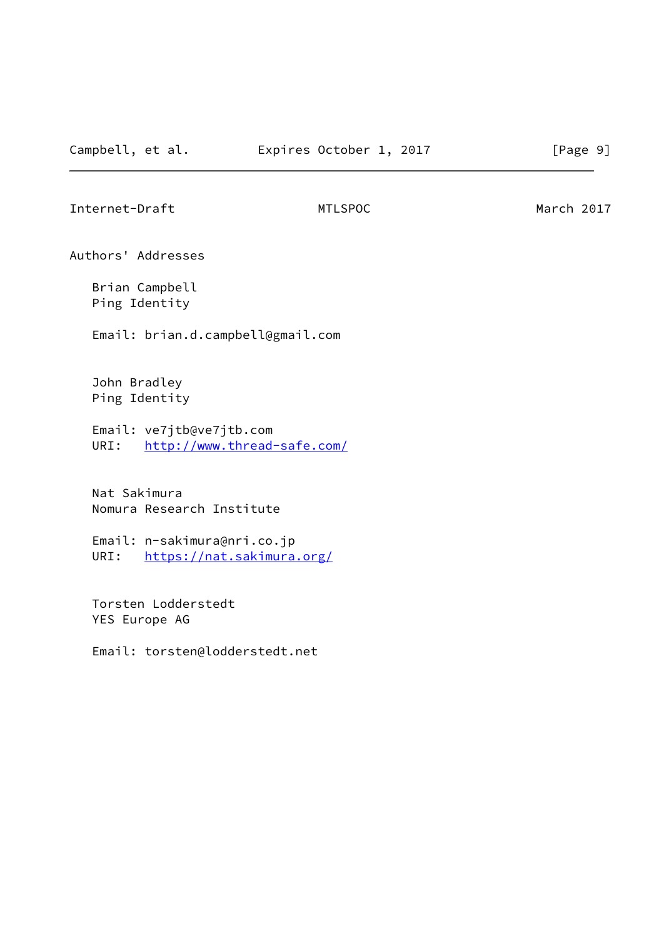<span id="page-10-0"></span>Internet-Draft MTLSPOC METRIC March 2017

Authors' Addresses

 Brian Campbell Ping Identity

Email: brian.d.campbell@gmail.com

 John Bradley Ping Identity

 Email: ve7jtb@ve7jtb.com URI: <http://www.thread-safe.com/>

 Nat Sakimura Nomura Research Institute

 Email: n-sakimura@nri.co.jp URI: <https://nat.sakimura.org/>

 Torsten Lodderstedt YES Europe AG

Email: torsten@lodderstedt.net